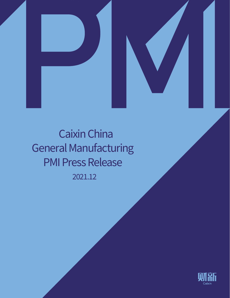



2021.12 Caixin China General Manufacturing PMI Press Release

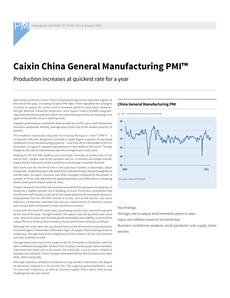# **Caixin China General Manufacturing PMI™**

Production increases at quickest rate for a year

Operating conditions across China's manufacturing sector improved slightly at the end of the year, according to latest PMI data. Firms signalled the strongest increase in output for a year amid a renewed uptick in total sales. However, foreign demand remained lacklustre, with export orders broadly stagnant. Improved demand prompted a fresh rise in purchasing activity, but backlogs rose again amid a further drop in staffing levels.

Supplier performance meanwhile deteriorated at a softer pace, and inflationary pressures weakened. Notably, average input costs rose at the slowest pace for 19 months.

The headline seasonally adjusted *Purchasing Managers' Index™ (PMI™)* – a composite indicator designed to provide a single-figure snapshot of operating conditions in the manufacturing economy – rose from 49.9 in November to 50.9 in December, to signal a renewed improvement in the health of the sector. Though marginal, the rate of improvement was the strongest seen since June.

Helping to lift the PMI reading was a stronger increase in production at the end of 2021. Output rose at the quickest rate for 12 months and solidly overall, supported by improved market conditions and stronger customer demand.

New work rose for the third time in the past four months in December, albeit marginally. Underlying data indicated that subdued foreign demand weighed on overall sales, as export business was little-changed compared to November. A number of firms indicated that the global pandemic and difficulties in shipping items continued to impact external sales.

Greater amounts of overall new business exerted further pressure on capacity, as shown by a slightly quicker rise in backlogs of work. Firms also commented that insufficient staff numbers had led to increased amounts of incomplete business. Employment fell for the fifth month in a row, and at the fastest rate since February. Companies indicated that the non-replacement of voluntary leavers and retirees had contributed to lower workforce numbers.

In line with the trend for total sales, purchasing activity also returned to growth at the end of the year. Though modest, the upturn was the quickest seen since June. Stocks of inputs and finished goods meanwhile rose slightly, as some firms noted efforts to build up their inventory levels amid firmer demand conditions.

Although the time taken for purchased items to be delivered to manufacturers increased again in December, there were signs of supply chains moving closer to stabilising. Average lead times lengthened at the slowest rate for nine months and only modestly overall.

Average input costs rose at the weakest rate for 19 months in December, with the rate of inflation having fallen further from October's recent peak. Panel members indicated that lower prices for some raw materials, such as steel, helped to dampen cost inflation. Prices charged meanwhile fell for the first time since April 2020, albeit marginally.

Although business confidence remained strong overall in December, the degree of optimism slipped to a 20-month low. The ongoing global pandemic, and its uncertain trajectory, as well as strained supply chains were cited as key challenges for the year ahead.

## **China General Manufacturing PMI**





Sources: Caixin, IHS Markit

Key findings:

Stronger rise in output amid renewed upturn in sales

Input cost inflation eases to 19-month low

Business confidence weakens amid pandemic and supply chain worries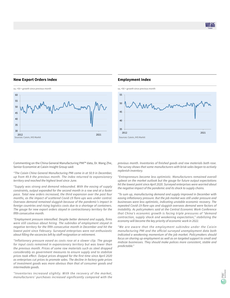# **New Export Orders Index**



# **Employment Index**



Commenting on the China General Manufacturing PMI™ data, Dr. Wang Zhe, Senior Economist at Caixin Insight Group said:

*"The Caixin China General Manufacturing PMI came in at 50.9 in December, up from 49.9 the previous month. The index returned to expansionary territory and reached the highest level since June.*

*"Supply was strong and demand rebounded. With the easing of supply constraints, output expanded for the second month in a row and at a faster pace. Total new orders increased, the third expansion over the past four months, as the impact of scattered Covid-19 flare-ups was under control. Overseas demand remained sluggish because of the pandemic's impact in foreign countries and rising logistics costs due to a shortage of containers. The gauge for new export orders stayed in contractionary territory for the fifth consecutive month.*

*"Employment pressure intensified. Despite better demand and supply, firms were still cautious about hiring. The subindex of employment stayed in negative territory for the fifth consecutive month in December and hit the lowest point since February. Surveyed enterprises were not enthusiastic about filling the vacancies left by staff resignation or retirement.*

*"Inflationary pressure eased as costs rose at a slower clip. The gauge for input costs remained in expansionary territory but was lower than the previous month. Prices of some raw materials such as steel dropped considerably as government measures to ensure supply and to stabilize prices took effect. Output prices dropped for the first time since April 2020 as enterprises cut prices to promote sales. The decline in factory-gate prices of investment goods was more obvious than that of consumer goods and intermediate goods.*

*"Inventories increased slightly. With the recovery of the market, manufacturers' purchases increased significantly compared with the*  *previous month. Inventories of finished goods and raw materials both rose. The survey shows that some manufacturers with brisk sales began to actively replenish inventory.*

*"Entrepreneurs became less optimistic. Manufacturers remained overall upbeat on the market outlook but the gauge for future output expectations hit the lowest point since April 2020. Surveyed enterprises were worried about the negative impact of the pandemic and its shock to supply chains.*

*"To sum up, manufacturing demand and supply improved in December with easing inflationary pressure. But the job market was still under pressure and businesses were less optimistic, indicating unstable economic recovery. The repeated Covid-19 flare-ups and sluggish overseas demand were factors of instability. As policymakers said at the Central Economic Work Conference that China's economic growth is facing triple pressures of "demand contraction, supply shock and weakening expectation," stabilizing the economy will become the key priority of economic work in 2022.*

*"We are aware that the employment subindex under the Caixin manufacturing PMI and the official surveyed unemployment data both indicated a weakening momentum of the job market. Policymakers should focus on shoring up employment as well as on targeted support to small and midsize businesses. They should make polices more consistent, stable and predictable."*